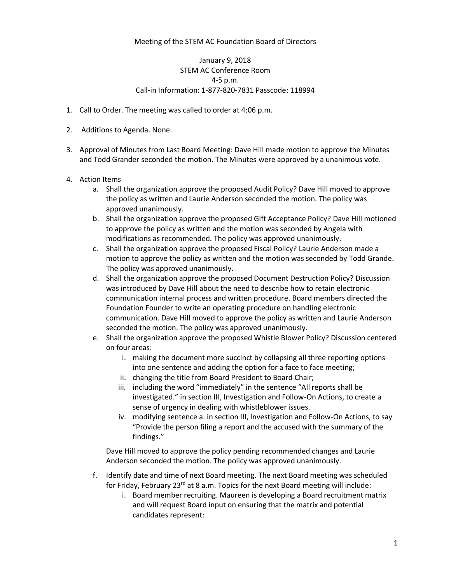## Meeting of the STEM AC Foundation Board of Directors

## January 9, 2018 STEM AC Conference Room 4-5 p.m. Call-in Information: 1-877-820-7831 Passcode: 118994

- 1. Call to Order. The meeting was called to order at 4:06 p.m.
- 2. Additions to Agenda. None.
- 3. Approval of Minutes from Last Board Meeting: Dave Hill made motion to approve the Minutes and Todd Grander seconded the motion. The Minutes were approved by a unanimous vote.
- 4. Action Items
	- a. Shall the organization approve the proposed Audit Policy? Dave Hill moved to approve the policy as written and Laurie Anderson seconded the motion. The policy was approved unanimously.
	- b. Shall the organization approve the proposed Gift Acceptance Policy? Dave Hill motioned to approve the policy as written and the motion was seconded by Angela with modifications as recommended. The policy was approved unanimously.
	- c. Shall the organization approve the proposed Fiscal Policy? Laurie Anderson made a motion to approve the policy as written and the motion was seconded by Todd Grande. The policy was approved unanimously.
	- d. Shall the organization approve the proposed Document Destruction Policy? Discussion was introduced by Dave Hill about the need to describe how to retain electronic communication internal process and written procedure. Board members directed the Foundation Founder to write an operating procedure on handling electronic communication. Dave Hill moved to approve the policy as written and Laurie Anderson seconded the motion. The policy was approved unanimously.
	- e. Shall the organization approve the proposed Whistle Blower Policy? Discussion centered on four areas:
		- i. making the document more succinct by collapsing all three reporting options into one sentence and adding the option for a face to face meeting;
		- ii. changing the title from Board President to Board Chair;
		- iii. including the word "immediately" in the sentence "All reports shall be investigated." in section III, Investigation and Follow-On Actions, to create a sense of urgency in dealing with whistleblower issues.
		- iv. modifying sentence a. in section III, Investigation and Follow-On Actions, to say "Provide the person filing a report and the accused with the summary of the findings."

Dave Hill moved to approve the policy pending recommended changes and Laurie Anderson seconded the motion. The policy was approved unanimously.

- f. Identify date and time of next Board meeting. The next Board meeting was scheduled for Friday, February 23 $^{rd}$  at 8 a.m. Topics for the next Board meeting will include:
	- i. Board member recruiting. Maureen is developing a Board recruitment matrix and will request Board input on ensuring that the matrix and potential candidates represent: